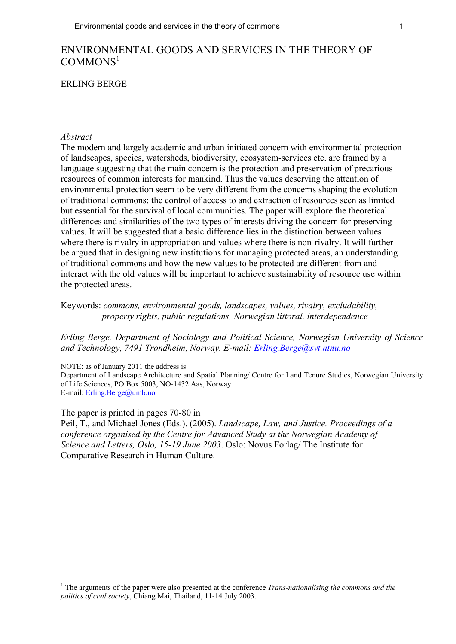# ENVIRONMENTAL GOODS AND SERVICES IN THE THEORY OF  $COMMONS<sup>1</sup>$

#### ERLING BERGE

#### *Abstract*

The modern and largely academic and urban initiated concern with environmental protection of landscapes, species, watersheds, biodiversity, ecosystem-services etc. are framed by a language suggesting that the main concern is the protection and preservation of precarious resources of common interests for mankind. Thus the values deserving the attention of environmental protection seem to be very different from the concerns shaping the evolution of traditional commons: the control of access to and extraction of resources seen as limited but essential for the survival of local communities. The paper will explore the theoretical differences and similarities of the two types of interests driving the concern for preserving values. It will be suggested that a basic difference lies in the distinction between values where there is rivalry in appropriation and values where there is non-rivalry. It will further be argued that in designing new institutions for managing protected areas, an understanding of traditional commons and how the new values to be protected are different from and interact with the old values will be important to achieve sustainability of resource use within the protected areas.

Keywords: *commons, environmental goods, landscapes, values, rivalry, excludability, property rights, public regulations, Norwegian littoral, interdependence* 

*Erling Berge, Department of Sociology and Political Science, Norwegian University of Science and Technology, 7491 Trondheim, Norway. E-mail: [Erling.Berge@svt.ntnu.no](mailto:Erling.Berge@svt.ntnu.no)*

NOTE: as of January 2011 the address is

Department of Landscape Architecture and Spatial Planning/ Centre for Land Tenure Studies, Norwegian University of Life Sciences, PO Box 5003, NO-1432 Aas, Norway E-mail: [Erling.Berge@umb.no](mailto:Erling.Berge@umb.no)

The paper is printed in pages 70-80 in

 $\overline{a}$ 

Peil, T., and Michael Jones (Eds.). (2005). *Landscape, Law, and Justice. Proceedings of a conference organised by the Centre for Advanced Study at the Norwegian Academy of Science and Letters, Oslo, 15-19 June 2003*. Oslo: Novus Forlag/ The Institute for Comparative Research in Human Culture.

<sup>1</sup> The arguments of the paper were also presented at the conference *Trans-nationalising the commons and the politics of civil society*, Chiang Mai, Thailand, 11-14 July 2003.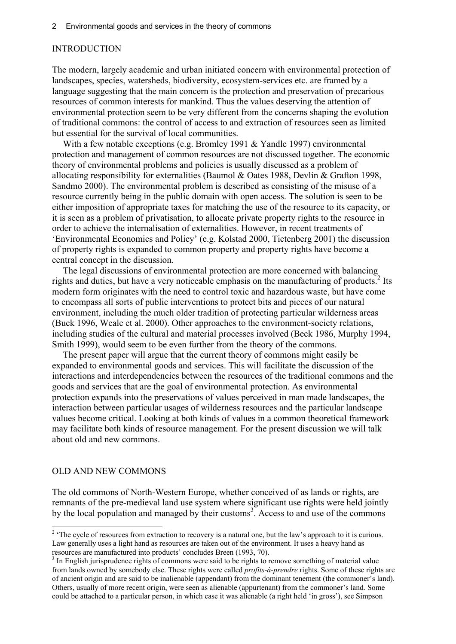### **INTRODUCTION**

The modern, largely academic and urban initiated concern with environmental protection of landscapes, species, watersheds, biodiversity, ecosystem-services etc. are framed by a language suggesting that the main concern is the protection and preservation of precarious resources of common interests for mankind. Thus the values deserving the attention of environmental protection seem to be very different from the concerns shaping the evolution of traditional commons: the control of access to and extraction of resources seen as limited but essential for the survival of local communities.

With a few notable exceptions (e.g. Bromley 1991 & Yandle 1997) environmental protection and management of common resources are not discussed together. The economic theory of environmental problems and policies is usually discussed as a problem of allocating responsibility for externalities (Baumol & Oates 1988, Devlin & Grafton 1998, Sandmo 2000). The environmental problem is described as consisting of the misuse of a resource currently being in the public domain with open access. The solution is seen to be either imposition of appropriate taxes for matching the use of the resource to its capacity, or it is seen as a problem of privatisation, to allocate private property rights to the resource in order to achieve the internalisation of externalities. However, in recent treatments of 'Environmental Economics and Policy' (e.g. Kolstad 2000, Tietenberg 2001) the discussion of property rights is expanded to common property and property rights have become a central concept in the discussion.

The legal discussions of environmental protection are more concerned with balancing rights and duties, but have a very noticeable emphasis on the manufacturing of products.<sup>2</sup> Its modern form originates with the need to control toxic and hazardous waste, but have come to encompass all sorts of public interventions to protect bits and pieces of our natural environment, including the much older tradition of protecting particular wilderness areas (Buck 1996, Weale et al. 2000). Other approaches to the environment-society relations, including studies of the cultural and material processes involved (Beck 1986, Murphy 1994, Smith 1999), would seem to be even further from the theory of the commons.

The present paper will argue that the current theory of commons might easily be expanded to environmental goods and services. This will facilitate the discussion of the interactions and interdependencies between the resources of the traditional commons and the goods and services that are the goal of environmental protection. As environmental protection expands into the preservations of values perceived in man made landscapes, the interaction between particular usages of wilderness resources and the particular landscape values become critical. Looking at both kinds of values in a common theoretical framework may facilitate both kinds of resource management. For the present discussion we will talk about old and new commons.

### OLD AND NEW COMMONS

 $\overline{a}$ 

The old commons of North-Western Europe, whether conceived of as lands or rights, are remnants of the pre-medieval land use system where significant use rights were held jointly by the local population and managed by their customs<sup>3</sup>. Access to and use of the commons

<sup>&</sup>lt;sup>2</sup> The cycle of resources from extraction to recovery is a natural one, but the law's approach to it is curious. Law generally uses a light hand as resources are taken out of the environment. It uses a heavy hand as resources are manufactured into products' concludes Breen (1993, 70).

 $3$  In English jurisprudence rights of commons were said to be rights to remove something of material value from lands owned by somebody else. These rights were called *profits-à-prendre* rights. Some of these rights are of ancient origin and are said to be inalienable (appendant) from the dominant tenement (the commoner's land). Others, usually of more recent origin, were seen as alienable (appurtenant) from the commoner's land. Some could be attached to a particular person, in which case it was alienable (a right held 'in gross'), see Simpson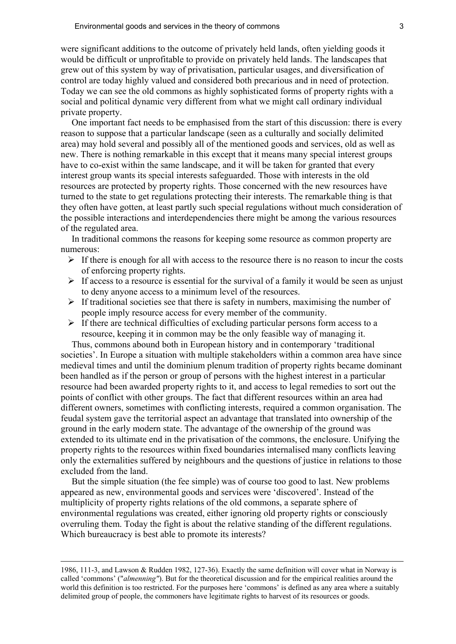were significant additions to the outcome of privately held lands, often yielding goods it would be difficult or unprofitable to provide on privately held lands. The landscapes that grew out of this system by way of privatisation, particular usages, and diversification of control are today highly valued and considered both precarious and in need of protection. Today we can see the old commons as highly sophisticated forms of property rights with a social and political dynamic very different from what we might call ordinary individual private property.

One important fact needs to be emphasised from the start of this discussion: there is every reason to suppose that a particular landscape (seen as a culturally and socially delimited area) may hold several and possibly all of the mentioned goods and services, old as well as new. There is nothing remarkable in this except that it means many special interest groups have to co-exist within the same landscape, and it will be taken for granted that every interest group wants its special interests safeguarded. Those with interests in the old resources are protected by property rights. Those concerned with the new resources have turned to the state to get regulations protecting their interests. The remarkable thing is that they often have gotten, at least partly such special regulations without much consideration of the possible interactions and interdependencies there might be among the various resources of the regulated area.

In traditional commons the reasons for keeping some resource as common property are numerous:

- $\triangleright$  If there is enough for all with access to the resource there is no reason to incur the costs of enforcing property rights.
- $\triangleright$  If access to a resource is essential for the survival of a family it would be seen as unjust to deny anyone access to a minimum level of the resources.
- $\triangleright$  If traditional societies see that there is safety in numbers, maximising the number of people imply resource access for every member of the community.
- $\triangleright$  If there are technical difficulties of excluding particular persons form access to a resource, keeping it in common may be the only feasible way of managing it.

Thus, commons abound both in European history and in contemporary 'traditional societies'. In Europe a situation with multiple stakeholders within a common area have since medieval times and until the dominium plenum tradition of property rights became dominant been handled as if the person or group of persons with the highest interest in a particular resource had been awarded property rights to it, and access to legal remedies to sort out the points of conflict with other groups. The fact that different resources within an area had different owners, sometimes with conflicting interests, required a common organisation. The feudal system gave the territorial aspect an advantage that translated into ownership of the ground in the early modern state. The advantage of the ownership of the ground was extended to its ultimate end in the privatisation of the commons, the enclosure. Unifying the property rights to the resources within fixed boundaries internalised many conflicts leaving only the externalities suffered by neighbours and the questions of justice in relations to those excluded from the land.

But the simple situation (the fee simple) was of course too good to last. New problems appeared as new, environmental goods and services were 'discovered'. Instead of the multiplicity of property rights relations of the old commons, a separate sphere of environmental regulations was created, either ignoring old property rights or consciously overruling them. Today the fight is about the relative standing of the different regulations. Which bureaucracy is best able to promote its interests?

<u>.</u>

<sup>1986, 111-3,</sup> and Lawson & Rudden 1982, 127-36). Exactly the same definition will cover what in Norway is called 'commons' ("*almenning"*). But for the theoretical discussion and for the empirical realities around the world this definition is too restricted. For the purposes here 'commons' is defined as any area where a suitably delimited group of people, the commoners have legitimate rights to harvest of its resources or goods.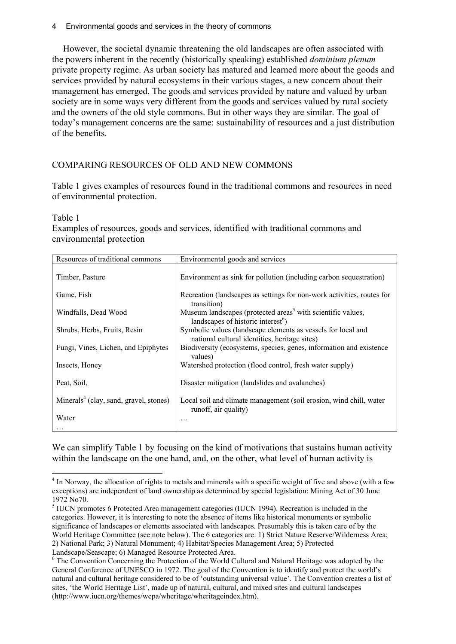### 4 Environmental goods and services in the theory of commons

However, the societal dynamic threatening the old landscapes are often associated with the powers inherent in the recently (historically speaking) established *dominium plenum* private property regime. As urban society has matured and learned more about the goods and services provided by natural ecosystems in their various stages, a new concern about their management has emerged. The goods and services provided by nature and valued by urban society are in some ways very different from the goods and services valued by rural society and the owners of the old style commons. But in other ways they are similar. The goal of today's management concerns are the same: sustainability of resources and a just distribution of the benefits.

# COMPARING RESOURCES OF OLD AND NEW COMMONS

Table 1 gives examples of resources found in the traditional commons and resources in need of environmental protection.

#### Table 1

 $\overline{a}$ 

Examples of resources, goods and services, identified with traditional commons and environmental protection

| Resources of traditional commons                   | Environmental goods and services                                                                                          |  |  |
|----------------------------------------------------|---------------------------------------------------------------------------------------------------------------------------|--|--|
| Timber, Pasture                                    | Environment as sink for pollution (including carbon sequestration)                                                        |  |  |
| Game, Fish                                         | Recreation (landscapes as settings for non-work activities, routes for<br>transition)                                     |  |  |
| Windfalls, Dead Wood                               | Museum landscapes (protected areas <sup>5</sup> with scientific values,<br>landscapes of historic interest <sup>6</sup> ) |  |  |
| Shrubs, Herbs, Fruits, Resin                       | Symbolic values (landscape elements as vessels for local and<br>national cultural identities, heritage sites)             |  |  |
| Fungi, Vines, Lichen, and Epiphytes                | Biodiversity (ecosystems, species, genes, information and existence<br>values)                                            |  |  |
| Insects, Honey                                     | Watershed protection (flood control, fresh water supply)                                                                  |  |  |
| Peat, Soil,                                        | Disaster mitigation (landslides and avalanches)                                                                           |  |  |
| Minerals <sup>4</sup> (clay, sand, gravel, stones) | Local soil and climate management (soil erosion, wind chill, water<br>runoff, air quality)                                |  |  |
| Water<br>$\cdot$                                   | .                                                                                                                         |  |  |

We can simplify Table 1 by focusing on the kind of motivations that sustains human activity within the landscape on the one hand, and, on the other, what level of human activity is

<sup>&</sup>lt;sup>4</sup> In Norway, the allocation of rights to metals and minerals with a specific weight of five and above (with a few exceptions) are independent of land ownership as determined by special legislation: Mining Act of 30 June 1972 No70.

<sup>&</sup>lt;sup>5</sup> IUCN promotes 6 Protected Area management categories (IUCN 1994). Recreation is included in the categories. However, it is interesting to note the absence of items like historical monuments or symbolic significance of landscapes or elements associated with landscapes. Presumably this is taken care of by the World Heritage Committee (see note below). The 6 categories are: 1) Strict Nature Reserve/Wilderness Area; 2) National Park; 3) Natural Monument; 4) Habitat/Species Management Area; 5) Protected Landscape/Seascape; 6) Managed Resource Protected Area.

<sup>&</sup>lt;sup>6</sup> The Convention Concerning the Protection of the World Cultural and Natural Heritage was adopted by the General Conference of UNESCO in 1972. The goal of the Convention is to identify and protect the world's natural and cultural heritage considered to be of 'outstanding universal value'. The Convention creates a list of sites, 'the World Heritage List', made up of natural, cultural, and mixed sites and cultural landscapes (http://www.iucn.org/themes/wcpa/wheritage/wheritageindex.htm).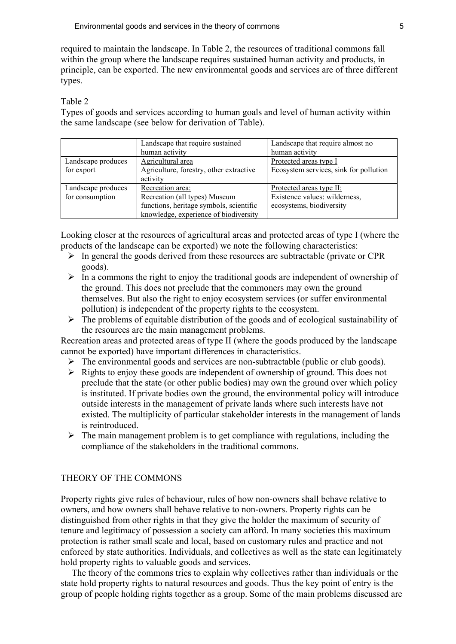required to maintain the landscape. In Table 2, the resources of traditional commons fall within the group where the landscape requires sustained human activity and products, in principle, can be exported. The new environmental goods and services are of three different types.

### Table 2

Types of goods and services according to human goals and level of human activity within the same landscape (see below for derivation of Table).

|                    | Landscape that require sustained        | Landscape that require almost no       |
|--------------------|-----------------------------------------|----------------------------------------|
|                    | human activity                          | human activity                         |
| Landscape produces | Agricultural area                       | Protected areas type I                 |
| for export         | Agriculture, forestry, other extractive | Ecosystem services, sink for pollution |
|                    | activity                                |                                        |
| Landscape produces | Recreation area:                        | Protected areas type II:               |
| for consumption    | Recreation (all types) Museum           | Existence values: wilderness,          |
|                    | functions, heritage symbols, scientific | ecosystems, biodiversity               |
|                    | knowledge, experience of biodiversity   |                                        |

Looking closer at the resources of agricultural areas and protected areas of type I (where the products of the landscape can be exported) we note the following characteristics:

- $\triangleright$  In general the goods derived from these resources are subtractable (private or CPR) goods).
- $\triangleright$  In a commons the right to enjoy the traditional goods are independent of ownership of the ground. This does not preclude that the commoners may own the ground themselves. But also the right to enjoy ecosystem services (or suffer environmental pollution) is independent of the property rights to the ecosystem.
- $\triangleright$  The problems of equitable distribution of the goods and of ecological sustainability of the resources are the main management problems.

Recreation areas and protected areas of type II (where the goods produced by the landscape cannot be exported) have important differences in characteristics.

- $\triangleright$  The environmental goods and services are non-subtractable (public or club goods).
- $\triangleright$  Rights to enjoy these goods are independent of ownership of ground. This does not preclude that the state (or other public bodies) may own the ground over which policy is instituted. If private bodies own the ground, the environmental policy will introduce outside interests in the management of private lands where such interests have not existed. The multiplicity of particular stakeholder interests in the management of lands is reintroduced.
- $\triangleright$  The main management problem is to get compliance with regulations, including the compliance of the stakeholders in the traditional commons.

### THEORY OF THE COMMONS

Property rights give rules of behaviour, rules of how non-owners shall behave relative to owners, and how owners shall behave relative to non-owners. Property rights can be distinguished from other rights in that they give the holder the maximum of security of tenure and legitimacy of possession a society can afford. In many societies this maximum protection is rather small scale and local, based on customary rules and practice and not enforced by state authorities. Individuals, and collectives as well as the state can legitimately hold property rights to valuable goods and services.

The theory of the commons tries to explain why collectives rather than individuals or the state hold property rights to natural resources and goods. Thus the key point of entry is the group of people holding rights together as a group. Some of the main problems discussed are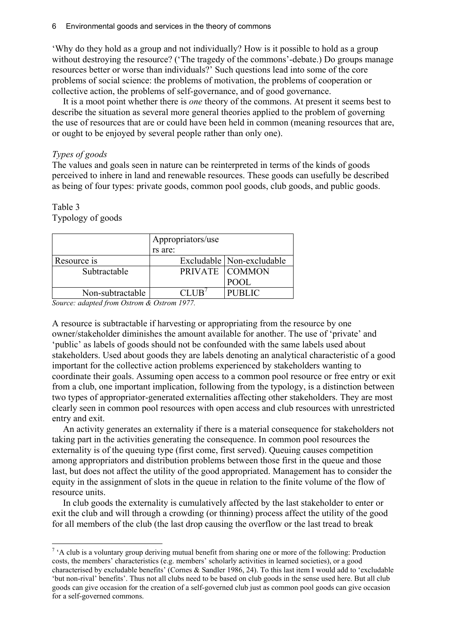'Why do they hold as a group and not individually? How is it possible to hold as a group without destroying the resource? ('The tragedy of the commons'-debate.) Do groups manage resources better or worse than individuals?' Such questions lead into some of the core problems of social science: the problems of motivation, the problems of cooperation or collective action, the problems of self-governance, and of good governance.

It is a moot point whether there is *one* theory of the commons. At present it seems best to describe the situation as several more general theories applied to the problem of governing the use of resources that are or could have been held in common (meaning resources that are, or ought to be enjoyed by several people rather than only one).

### *Types of goods*

The values and goals seen in nature can be reinterpreted in terms of the kinds of goods perceived to inhere in land and renewable resources. These goods can usefully be described as being of four types: private goods, common pool goods, club goods, and public goods.

# Table 3

 $\overline{a}$ 

Typology of goods

|                  | Appropriators/use |                             |  |
|------------------|-------------------|-----------------------------|--|
|                  | rs are:           |                             |  |
| Resource is      |                   | Excludable   Non-excludable |  |
| Subtractable     |                   | PRIVATE COMMON              |  |
|                  |                   | POOL                        |  |
| Non-subtractable |                   | <b>PUBLIC</b>               |  |

*Source: adapted from Ostrom & Ostrom 1977.* 

A resource is subtractable if harvesting or appropriating from the resource by one owner/stakeholder diminishes the amount available for another. The use of 'private' and 'public' as labels of goods should not be confounded with the same labels used about stakeholders. Used about goods they are labels denoting an analytical characteristic of a good important for the collective action problems experienced by stakeholders wanting to coordinate their goals. Assuming open access to a common pool resource or free entry or exit from a club, one important implication, following from the typology, is a distinction between two types of appropriator-generated externalities affecting other stakeholders. They are most clearly seen in common pool resources with open access and club resources with unrestricted entry and exit.

An activity generates an externality if there is a material consequence for stakeholders not taking part in the activities generating the consequence. In common pool resources the externality is of the queuing type (first come, first served). Queuing causes competition among appropriators and distribution problems between those first in the queue and those last, but does not affect the utility of the good appropriated. Management has to consider the equity in the assignment of slots in the queue in relation to the finite volume of the flow of resource units.

In club goods the externality is cumulatively affected by the last stakeholder to enter or exit the club and will through a crowding (or thinning) process affect the utility of the good for all members of the club (the last drop causing the overflow or the last tread to break

<sup>&</sup>lt;sup>7</sup> 'A club is a voluntary group deriving mutual benefit from sharing one or more of the following: Production costs, the members' characteristics (e.g. members' scholarly activities in learned societies), or a good characterised by excludable benefits' (Cornes & Sandler 1986, 24). To this last item I would add to 'excludable 'but non-rival' benefits'. Thus not all clubs need to be based on club goods in the sense used here. But all club goods can give occasion for the creation of a self-governed club just as common pool goods can give occasion for a self-governed commons.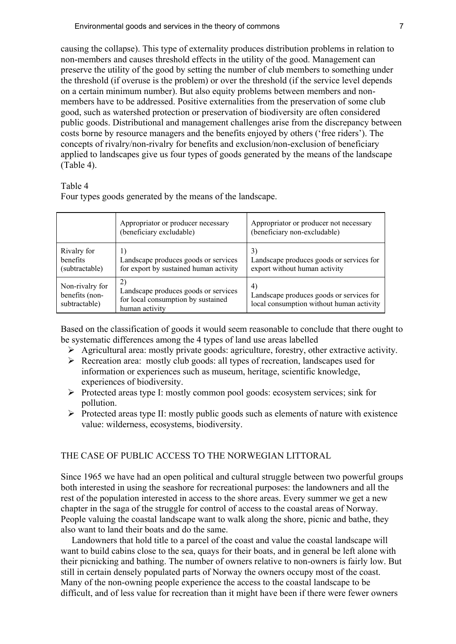causing the collapse). This type of externality produces distribution problems in relation to non-members and causes threshold effects in the utility of the good. Management can preserve the utility of the good by setting the number of club members to something under the threshold (if overuse is the problem) or over the threshold (if the service level depends on a certain minimum number). But also equity problems between members and nonmembers have to be addressed. Positive externalities from the preservation of some club good, such as watershed protection or preservation of biodiversity are often considered public goods. Distributional and management challenges arise from the discrepancy between costs borne by resource managers and the benefits enjoyed by others ('free riders'). The concepts of rivalry/non-rivalry for benefits and exclusion/non-exclusion of beneficiary applied to landscapes give us four types of goods generated by the means of the landscape (Table 4).

#### Table 4

Four types goods generated by the means of the landscape.

|                                                    | Appropriator or producer necessary<br>(beneficiary excludable)                                               | Appropriator or producer not necessary<br>(beneficiary non-excludable)                     |
|----------------------------------------------------|--------------------------------------------------------------------------------------------------------------|--------------------------------------------------------------------------------------------|
| Rivalry for<br><b>benefits</b><br>(subtractable)   | Landscape produces goods or services<br>for export by sustained human activity                               | 3)<br>Landscape produces goods or services for<br>export without human activity            |
| Non-rivalry for<br>benefits (non-<br>subtractable) | $\mathbf{2}$<br>Landscape produces goods or services<br>for local consumption by sustained<br>human activity | 4)<br>Landscape produces goods or services for<br>local consumption without human activity |

Based on the classification of goods it would seem reasonable to conclude that there ought to be systematic differences among the 4 types of land use areas labelled

- Agricultural area: mostly private goods: agriculture, forestry, other extractive activity.
- Recreation area: mostly club goods: all types of recreation, landscapes used for information or experiences such as museum, heritage, scientific knowledge, experiences of biodiversity.
- $\triangleright$  Protected areas type I: mostly common pool goods: ecosystem services; sink for pollution.
- $\triangleright$  Protected areas type II: mostly public goods such as elements of nature with existence value: wilderness, ecosystems, biodiversity.

### THE CASE OF PUBLIC ACCESS TO THE NORWEGIAN LITTORAL

Since 1965 we have had an open political and cultural struggle between two powerful groups both interested in using the seashore for recreational purposes: the landowners and all the rest of the population interested in access to the shore areas. Every summer we get a new chapter in the saga of the struggle for control of access to the coastal areas of Norway. People valuing the coastal landscape want to walk along the shore, picnic and bathe, they also want to land their boats and do the same.

Landowners that hold title to a parcel of the coast and value the coastal landscape will want to build cabins close to the sea, quays for their boats, and in general be left alone with their picnicking and bathing. The number of owners relative to non-owners is fairly low. But still in certain densely populated parts of Norway the owners occupy most of the coast. Many of the non-owning people experience the access to the coastal landscape to be difficult, and of less value for recreation than it might have been if there were fewer owners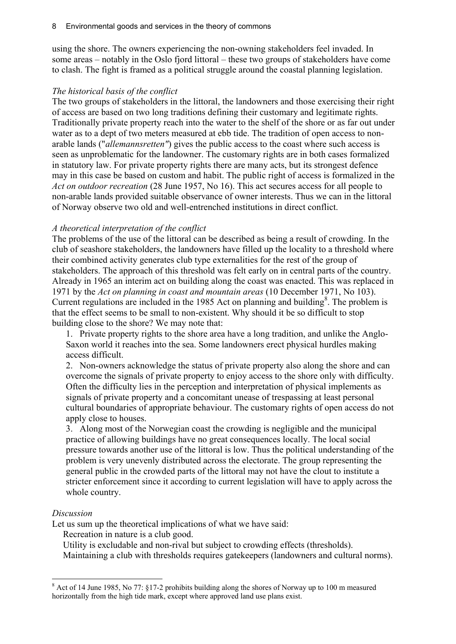using the shore. The owners experiencing the non-owning stakeholders feel invaded. In some areas – notably in the Oslo fjord littoral – these two groups of stakeholders have come to clash. The fight is framed as a political struggle around the coastal planning legislation.

## *The historical basis of the conflict*

The two groups of stakeholders in the littoral, the landowners and those exercising their right of access are based on two long traditions defining their customary and legitimate rights. Traditionally private property reach into the water to the shelf of the shore or as far out under water as to a dept of two meters measured at ebb tide. The tradition of open access to nonarable lands ("*allemannsretten"*) gives the public access to the coast where such access is seen as unproblematic for the landowner. The customary rights are in both cases formalized in statutory law. For private property rights there are many acts, but its strongest defence may in this case be based on custom and habit. The public right of access is formalized in the *Act on outdoor recreation* (28 June 1957, No 16). This act secures access for all people to non-arable lands provided suitable observance of owner interests. Thus we can in the littoral of Norway observe two old and well-entrenched institutions in direct conflict.

## *A theoretical interpretation of the conflict*

The problems of the use of the littoral can be described as being a result of crowding. In the club of seashore stakeholders, the landowners have filled up the locality to a threshold where their combined activity generates club type externalities for the rest of the group of stakeholders. The approach of this threshold was felt early on in central parts of the country. Already in 1965 an interim act on building along the coast was enacted. This was replaced in 1971 by the *Act on planning in coast and mountain areas* (10 December 1971, No 103). Current regulations are included in the 1985 Act on planning and building<sup>8</sup>. The problem is that the effect seems to be small to non-existent. Why should it be so difficult to stop building close to the shore? We may note that:

1. Private property rights to the shore area have a long tradition, and unlike the Anglo-Saxon world it reaches into the sea. Some landowners erect physical hurdles making access difficult.

2. Non-owners acknowledge the status of private property also along the shore and can overcome the signals of private property to enjoy access to the shore only with difficulty. Often the difficulty lies in the perception and interpretation of physical implements as signals of private property and a concomitant unease of trespassing at least personal cultural boundaries of appropriate behaviour. The customary rights of open access do not apply close to houses.

3. Along most of the Norwegian coast the crowding is negligible and the municipal practice of allowing buildings have no great consequences locally. The local social pressure towards another use of the littoral is low. Thus the political understanding of the problem is very unevenly distributed across the electorate. The group representing the general public in the crowded parts of the littoral may not have the clout to institute a stricter enforcement since it according to current legislation will have to apply across the whole country.

### *Discussion*

 $\overline{a}$ 

Let us sum up the theoretical implications of what we have said:

Recreation in nature is a club good.

Utility is excludable and non-rival but subject to crowding effects (thresholds). Maintaining a club with thresholds requires gatekeepers (landowners and cultural norms).

<sup>8</sup> Act of 14 June 1985, No 77: §17-2 prohibits building along the shores of Norway up to 100 m measured horizontally from the high tide mark, except where approved land use plans exist.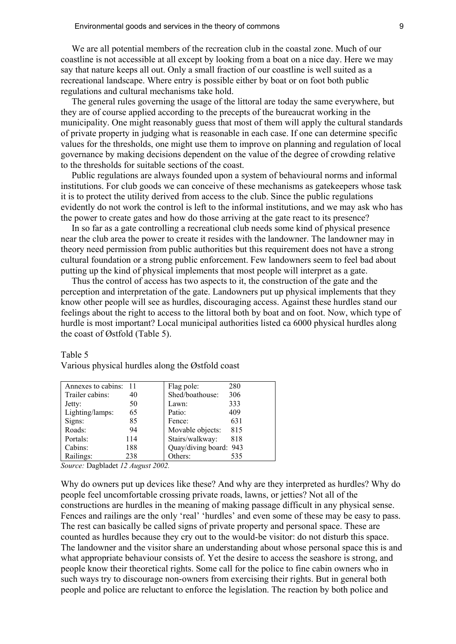We are all potential members of the recreation club in the coastal zone. Much of our coastline is not accessible at all except by looking from a boat on a nice day. Here we may say that nature keeps all out. Only a small fraction of our coastline is well suited as a recreational landscape. Where entry is possible either by boat or on foot both public regulations and cultural mechanisms take hold.

The general rules governing the usage of the littoral are today the same everywhere, but they are of course applied according to the precepts of the bureaucrat working in the municipality. One might reasonably guess that most of them will apply the cultural standards of private property in judging what is reasonable in each case. If one can determine specific values for the thresholds, one might use them to improve on planning and regulation of local governance by making decisions dependent on the value of the degree of crowding relative to the thresholds for suitable sections of the coast.

Public regulations are always founded upon a system of behavioural norms and informal institutions. For club goods we can conceive of these mechanisms as gatekeepers whose task it is to protect the utility derived from access to the club. Since the public regulations evidently do not work the control is left to the informal institutions, and we may ask who has the power to create gates and how do those arriving at the gate react to its presence?

In so far as a gate controlling a recreational club needs some kind of physical presence near the club area the power to create it resides with the landowner. The landowner may in theory need permission from public authorities but this requirement does not have a strong cultural foundation or a strong public enforcement. Few landowners seem to feel bad about putting up the kind of physical implements that most people will interpret as a gate.

Thus the control of access has two aspects to it, the construction of the gate and the perception and interpretation of the gate. Landowners put up physical implements that they know other people will see as hurdles, discouraging access. Against these hurdles stand our feelings about the right to access to the littoral both by boat and on foot. Now, which type of hurdle is most important? Local municipal authorities listed ca 6000 physical hurdles along the coast of Østfold (Table 5).

| Annexes to cabins: |     | Flag pole:             | 280 |
|--------------------|-----|------------------------|-----|
| Trailer cabins:    | 40  | Shed/boathouse:        | 306 |
| Jetty:             | 50  | Lawn:                  | 333 |
| Lighting/lamps:    | 65  | Patio:                 | 409 |
| Signs:             | 85  | Fence:                 | 631 |
| Roads:             | 94  | Movable objects:       | 815 |
| Portals:           | 114 | Stairs/walkway:        | 818 |
| Cabins:            | 188 | Quay/diving board: 943 |     |
| Railings:          | 238 | Others:                | 535 |

Various physical hurdles along the Østfold coast

#### Table 5

*Source:* Dagbladet *12 August 2002.*

Why do owners put up devices like these? And why are they interpreted as hurdles? Why do people feel uncomfortable crossing private roads, lawns, or jetties? Not all of the constructions are hurdles in the meaning of making passage difficult in any physical sense. Fences and railings are the only 'real' 'hurdles' and even some of these may be easy to pass. The rest can basically be called signs of private property and personal space. These are counted as hurdles because they cry out to the would-be visitor: do not disturb this space. The landowner and the visitor share an understanding about whose personal space this is and what appropriate behaviour consists of. Yet the desire to access the seashore is strong, and people know their theoretical rights. Some call for the police to fine cabin owners who in such ways try to discourage non-owners from exercising their rights. But in general both people and police are reluctant to enforce the legislation. The reaction by both police and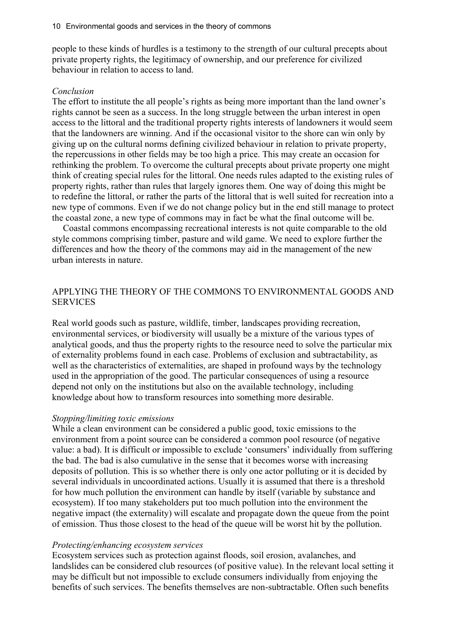people to these kinds of hurdles is a testimony to the strength of our cultural precepts about private property rights, the legitimacy of ownership, and our preference for civilized behaviour in relation to access to land.

#### *Conclusion*

The effort to institute the all people's rights as being more important than the land owner's rights cannot be seen as a success. In the long struggle between the urban interest in open access to the littoral and the traditional property rights interests of landowners it would seem that the landowners are winning. And if the occasional visitor to the shore can win only by giving up on the cultural norms defining civilized behaviour in relation to private property, the repercussions in other fields may be too high a price. This may create an occasion for rethinking the problem. To overcome the cultural precepts about private property one might think of creating special rules for the littoral. One needs rules adapted to the existing rules of property rights, rather than rules that largely ignores them. One way of doing this might be to redefine the littoral, or rather the parts of the littoral that is well suited for recreation into a new type of commons. Even if we do not change policy but in the end still manage to protect the coastal zone, a new type of commons may in fact be what the final outcome will be.

Coastal commons encompassing recreational interests is not quite comparable to the old style commons comprising timber, pasture and wild game. We need to explore further the differences and how the theory of the commons may aid in the management of the new urban interests in nature.

### APPLYING THE THEORY OF THE COMMONS TO ENVIRONMENTAL GOODS AND **SERVICES**

Real world goods such as pasture, wildlife, timber, landscapes providing recreation, environmental services, or biodiversity will usually be a mixture of the various types of analytical goods, and thus the property rights to the resource need to solve the particular mix of externality problems found in each case. Problems of exclusion and subtractability, as well as the characteristics of externalities, are shaped in profound ways by the technology used in the appropriation of the good. The particular consequences of using a resource depend not only on the institutions but also on the available technology, including knowledge about how to transform resources into something more desirable.

### *Stopping/limiting toxic emissions*

While a clean environment can be considered a public good, toxic emissions to the environment from a point source can be considered a common pool resource (of negative value: a bad). It is difficult or impossible to exclude 'consumers' individually from suffering the bad. The bad is also cumulative in the sense that it becomes worse with increasing deposits of pollution. This is so whether there is only one actor polluting or it is decided by several individuals in uncoordinated actions. Usually it is assumed that there is a threshold for how much pollution the environment can handle by itself (variable by substance and ecosystem). If too many stakeholders put too much pollution into the environment the negative impact (the externality) will escalate and propagate down the queue from the point of emission. Thus those closest to the head of the queue will be worst hit by the pollution.

### *Protecting/enhancing ecosystem services*

Ecosystem services such as protection against floods, soil erosion, avalanches, and landslides can be considered club resources (of positive value). In the relevant local setting it may be difficult but not impossible to exclude consumers individually from enjoying the benefits of such services. The benefits themselves are non-subtractable. Often such benefits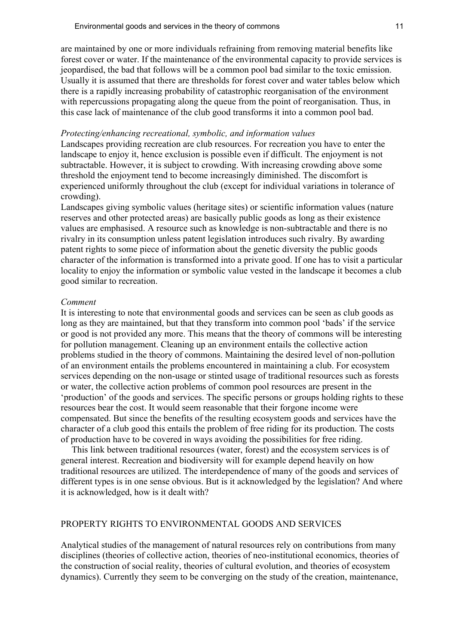are maintained by one or more individuals refraining from removing material benefits like forest cover or water. If the maintenance of the environmental capacity to provide services is jeopardised, the bad that follows will be a common pool bad similar to the toxic emission. Usually it is assumed that there are thresholds for forest cover and water tables below which there is a rapidly increasing probability of catastrophic reorganisation of the environment with repercussions propagating along the queue from the point of reorganisation. Thus, in this case lack of maintenance of the club good transforms it into a common pool bad.

### *Protecting/enhancing recreational, symbolic, and information values*

Landscapes providing recreation are club resources. For recreation you have to enter the landscape to enjoy it, hence exclusion is possible even if difficult. The enjoyment is not subtractable. However, it is subject to crowding. With increasing crowding above some threshold the enjoyment tend to become increasingly diminished. The discomfort is experienced uniformly throughout the club (except for individual variations in tolerance of crowding).

Landscapes giving symbolic values (heritage sites) or scientific information values (nature reserves and other protected areas) are basically public goods as long as their existence values are emphasised. A resource such as knowledge is non-subtractable and there is no rivalry in its consumption unless patent legislation introduces such rivalry. By awarding patent rights to some piece of information about the genetic diversity the public goods character of the information is transformed into a private good. If one has to visit a particular locality to enjoy the information or symbolic value vested in the landscape it becomes a club good similar to recreation.

#### *Comment*

It is interesting to note that environmental goods and services can be seen as club goods as long as they are maintained, but that they transform into common pool 'bads' if the service or good is not provided any more. This means that the theory of commons will be interesting for pollution management. Cleaning up an environment entails the collective action problems studied in the theory of commons. Maintaining the desired level of non-pollution of an environment entails the problems encountered in maintaining a club. For ecosystem services depending on the non-usage or stinted usage of traditional resources such as forests or water, the collective action problems of common pool resources are present in the 'production' of the goods and services. The specific persons or groups holding rights to these resources bear the cost. It would seem reasonable that their forgone income were compensated. But since the benefits of the resulting ecosystem goods and services have the character of a club good this entails the problem of free riding for its production. The costs of production have to be covered in ways avoiding the possibilities for free riding.

This link between traditional resources (water, forest) and the ecosystem services is of general interest. Recreation and biodiversity will for example depend heavily on how traditional resources are utilized. The interdependence of many of the goods and services of different types is in one sense obvious. But is it acknowledged by the legislation? And where it is acknowledged, how is it dealt with?

### PROPERTY RIGHTS TO ENVIRONMENTAL GOODS AND SERVICES

Analytical studies of the management of natural resources rely on contributions from many disciplines (theories of collective action, theories of neo-institutional economics, theories of the construction of social reality, theories of cultural evolution, and theories of ecosystem dynamics). Currently they seem to be converging on the study of the creation, maintenance,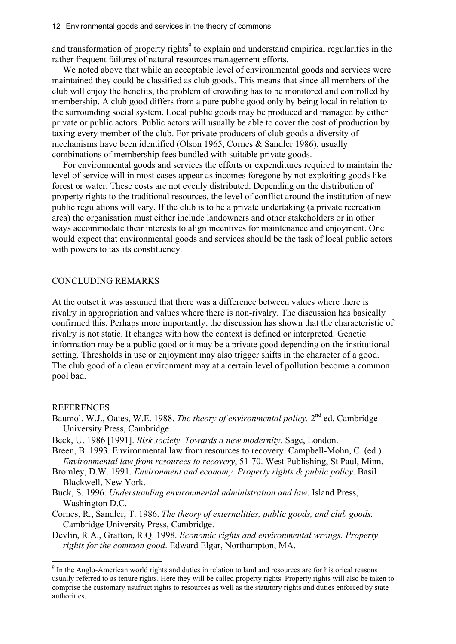and transformation of property rights<sup>9</sup> to explain and understand empirical regularities in the rather frequent failures of natural resources management efforts.

We noted above that while an acceptable level of environmental goods and services were maintained they could be classified as club goods. This means that since all members of the club will enjoy the benefits, the problem of crowding has to be monitored and controlled by membership. A club good differs from a pure public good only by being local in relation to the surrounding social system. Local public goods may be produced and managed by either private or public actors. Public actors will usually be able to cover the cost of production by taxing every member of the club. For private producers of club goods a diversity of mechanisms have been identified (Olson 1965, Cornes & Sandler 1986), usually combinations of membership fees bundled with suitable private goods.

For environmental goods and services the efforts or expenditures required to maintain the level of service will in most cases appear as incomes foregone by not exploiting goods like forest or water. These costs are not evenly distributed. Depending on the distribution of property rights to the traditional resources, the level of conflict around the institution of new public regulations will vary. If the club is to be a private undertaking (a private recreation area) the organisation must either include landowners and other stakeholders or in other ways accommodate their interests to align incentives for maintenance and enjoyment. One would expect that environmental goods and services should be the task of local public actors with powers to tax its constituency.

### CONCLUDING REMARKS

At the outset it was assumed that there was a difference between values where there is rivalry in appropriation and values where there is non-rivalry. The discussion has basically confirmed this. Perhaps more importantly, the discussion has shown that the characteristic of rivalry is not static. It changes with how the context is defined or interpreted. Genetic information may be a public good or it may be a private good depending on the institutional setting. Thresholds in use or enjoyment may also trigger shifts in the character of a good. The club good of a clean environment may at a certain level of pollution become a common pool bad.

### **REFERENCES**

 $\overline{a}$ 

- Baumol, W.J., Oates, W.E. 1988. *The theory of environmental policy*. 2<sup>nd</sup> ed. Cambridge University Press, Cambridge.
- Beck, U. 1986 [1991]. *Risk society. Towards a new modernity*. Sage, London.
- Breen, B. 1993. Environmental law from resources to recovery. Campbell-Mohn, C. (ed.) *Environmental law from resources to recovery*, 51-70. West Publishing, St Paul, Minn.
- Bromley, D.W. 1991. *Environment and economy. Property rights & public policy*. Basil Blackwell, New York.
- Buck, S. 1996. *Understanding environmental administration and law*. Island Press, Washington D.C.
- Cornes, R., Sandler, T. 1986. *The theory of externalities, public goods, and club goods.* Cambridge University Press, Cambridge.
- Devlin, R.A., Grafton, R.Q. 1998. *Economic rights and environmental wrongs. Property rights for the common good*. Edward Elgar, Northampton, MA.

<sup>&</sup>lt;sup>9</sup> In the Anglo-American world rights and duties in relation to land and resources are for historical reasons usually referred to as tenure rights. Here they will be called property rights. Property rights will also be taken to comprise the customary usufruct rights to resources as well as the statutory rights and duties enforced by state authorities.